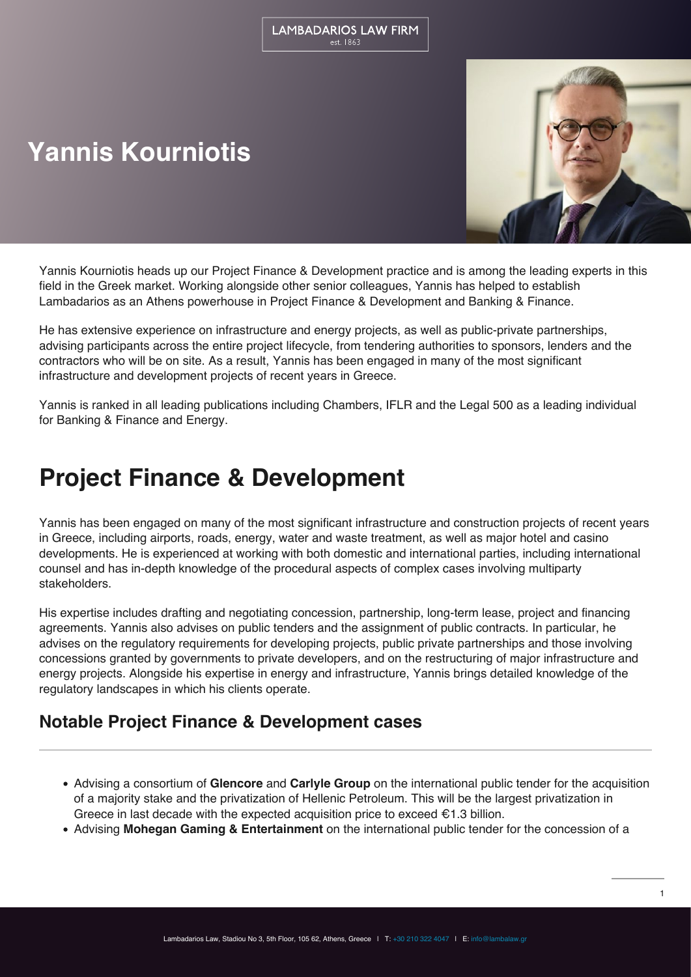# **Yannis Kourniotis**



Yannis Kourniotis heads up our Project Finance & Development practice and is among the leading experts in this field in the Greek market. Working alongside other senior colleagues, Yannis has helped to establish Lambadarios as an Athens powerhouse in Project Finance & Development and Banking & Finance.

He has extensive experience on infrastructure and energy projects, as well as public-private partnerships, advising participants across the entire project lifecycle, from tendering authorities to sponsors, lenders and the contractors who will be on site. As a result, Yannis has been engaged in many of the most significant infrastructure and development projects of recent years in Greece.

Yannis is ranked in all leading publications including Chambers, IFLR and the Legal 500 as a leading individual for Banking & Finance and Energy.

## **Project Finance & Development**

Yannis has been engaged on many of the most significant infrastructure and construction projects of recent years in Greece, including airports, roads, energy, water and waste treatment, as well as major hotel and casino developments. He is experienced at working with both domestic and international parties, including international counsel and has in-depth knowledge of the procedural aspects of complex cases involving multiparty stakeholders.

His expertise includes drafting and negotiating concession, partnership, long-term lease, project and financing agreements. Yannis also advises on public tenders and the assignment of public contracts. In particular, he advises on the regulatory requirements for developing projects, public private partnerships and those involving concessions granted by governments to private developers, and on the restructuring of major infrastructure and energy projects. Alongside his expertise in energy and infrastructure, Yannis brings detailed knowledge of the regulatory landscapes in which his clients operate.

## **Notable Project Finance & Development cases**

- Advising a consortium of **Glencore** and **Carlyle Group** on the international public tender for the acquisition of a majority stake and the privatization of Hellenic Petroleum. This will be the largest privatization in Greece in last decade with the expected acquisition price to exceed  $\epsilon$ 1.3 billion.
- Advising **Mohegan Gaming & Entertainment** on the international public tender for the concession of a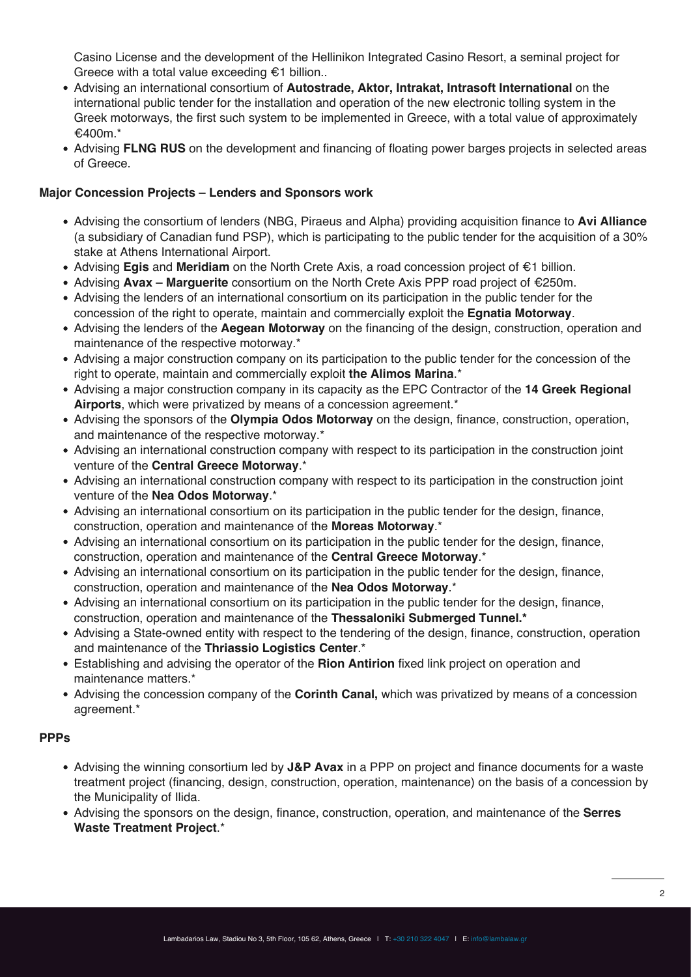Casino License and the development of the Hellinikon Integrated Casino Resort, a seminal project for Greece with a total value exceeding €1 billion..

- Advising an international consortium of **Autostrade, Aktor, Intrakat, Intrasoft International** on the international public tender for the installation and operation of the new electronic tolling system in the Greek motorways, the first such system to be implemented in Greece, with a total value of approximately €400m.\*
- Advising **FLNG RUS** on the development and financing of floating power barges projects in selected areas of Greece.

#### **Major Concession Projects – Lenders and Sponsors work**

- Advising the consortium of lenders (NBG, Piraeus and Alpha) providing acquisition finance to **Avi Alliance** (a subsidiary of Canadian fund PSP), which is participating to the public tender for the acquisition of a 30% stake at Athens International Airport.
- Advising **Egis** and **Meridiam** on the North Crete Axis, a road concession project of €1 billion.
- Advising **Avax Marguerite** consortium on the North Crete Axis PPP road project of €250m.
- Advising the lenders of an international consortium on its participation in the public tender for the concession of the right to operate, maintain and commercially exploit the **Egnatia Motorway**.
- Advising the lenders of the **Aegean Motorway** on the financing of the design, construction, operation and maintenance of the respective motorway.\*
- Advising a major construction company on its participation to the public tender for the concession of the right to operate, maintain and commercially exploit **the Alimos Marina**.\*
- Advising a major construction company in its capacity as the EPC Contractor of the **14 Greek Regional Airports**, which were privatized by means of a concession agreement.\*
- Advising the sponsors of the **Olympia Odos Motorway** on the design, finance, construction, operation, and maintenance of the respective motorway.\*
- Advising an international construction company with respect to its participation in the construction joint venture of the **Central Greece Motorway**.\*
- Advising an international construction company with respect to its participation in the construction joint venture of the **Nea Odos Motorway**.\*
- Advising an international consortium on its participation in the public tender for the design, finance, construction, operation and maintenance of the **Moreas Motorway**.\*
- Advising an international consortium on its participation in the public tender for the design, finance, construction, operation and maintenance of the **Central Greece Motorway**.\*
- Advising an international consortium on its participation in the public tender for the design, finance, construction, operation and maintenance of the **Nea Odos Motorway**.\*
- Advising an international consortium on its participation in the public tender for the design, finance, construction, operation and maintenance of the **Thessaloniki Submerged Tunnel.\***
- Advising a State-owned entity with respect to the tendering of the design, finance, construction, operation and maintenance of the **Thriassio Logistics Center**.\*
- Establishing and advising the operator of the **Rion Antirion** fixed link project on operation and maintenance matters.\*
- Advising the concession company of the **Corinth Canal,** which was privatized by means of a concession agreement.\*

#### **PPPs**

- Advising the winning consortium led by **J&P Avax** in a PPP on project and finance documents for a waste treatment project (financing, design, construction, operation, maintenance) on the basis of a concession by the Municipality of Ilida.
- Advising the sponsors on the design, finance, construction, operation, and maintenance of the **Serres Waste Treatment Project**.\*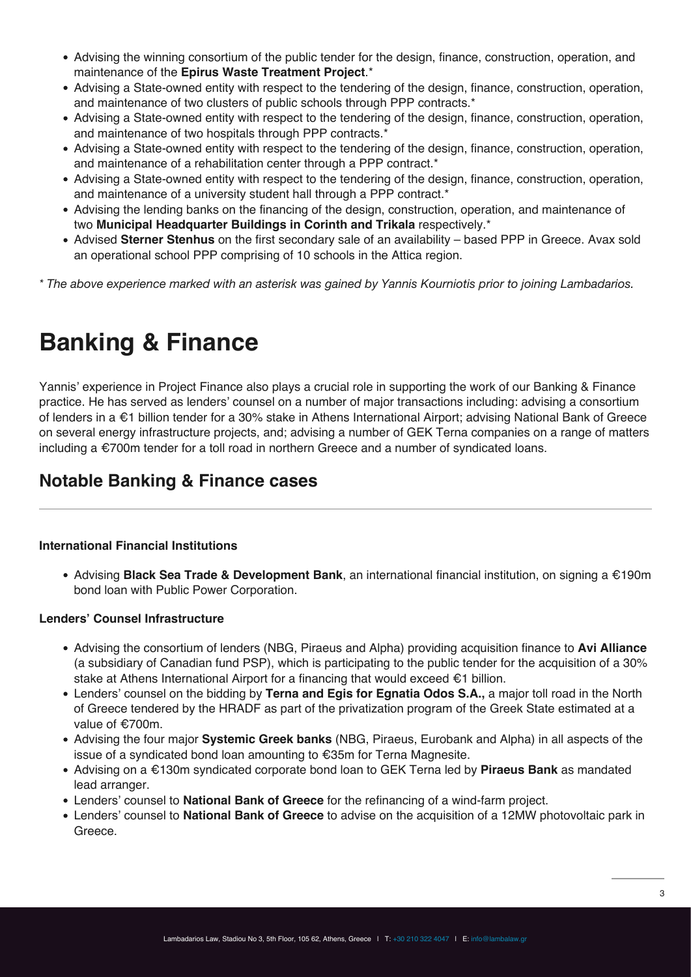- Advising the winning consortium of the public tender for the design, finance, construction, operation, and maintenance of the **Epirus Waste Treatment Project**.\*
- Advising a State-owned entity with respect to the tendering of the design, finance, construction, operation, and maintenance of two clusters of public schools through PPP contracts.\*
- Advising a State-owned entity with respect to the tendering of the design, finance, construction, operation, and maintenance of two hospitals through PPP contracts.\*
- Advising a State-owned entity with respect to the tendering of the design, finance, construction, operation, and maintenance of a rehabilitation center through a PPP contract.\*
- Advising a State-owned entity with respect to the tendering of the design, finance, construction, operation, and maintenance of a university student hall through a PPP contract.\*
- Advising the lending banks on the financing of the design, construction, operation, and maintenance of two **Municipal Headquarter Buildings in Corinth and Trikala** respectively.\*
- Advised **Sterner Stenhus** on the first secondary sale of an availability based PPP in Greece. Avax sold an operational school PPP comprising of 10 schools in the Attica region.
- *\* The above experience marked with an asterisk was gained by Yannis Kourniotis prior to joining Lambadarios.*

## **Banking & Finance**

Yannis' experience in Project Finance also plays a crucial role in supporting the work of our Banking & Finance practice. He has served as lenders' counsel on a number of major transactions including: advising a consortium of lenders in a €1 billion tender for a 30% stake in Athens International Airport; advising National Bank of Greece on several energy infrastructure projects, and; advising a number of GEK Terna companies on a range of matters including a €700m tender for a toll road in northern Greece and a number of syndicated loans.

## **Notable Banking & Finance cases**

### **International Financial Institutions**

Advising **Black Sea Trade & Development Bank**, an international financial institution, on signing a €190m bond loan with Public Power Corporation.

#### **Lenders' Counsel Infrastructure**

- Advising the consortium of lenders (NBG, Piraeus and Alpha) providing acquisition finance to **Avi Alliance** (a subsidiary of Canadian fund PSP), which is participating to the public tender for the acquisition of a 30% stake at Athens International Airport for a financing that would exceed €1 billion.
- Lenders' counsel on the bidding by **Terna and Egis for Egnatia Odos S.A.,** a major toll road in the North of Greece tendered by the HRADF as part of the privatization program of the Greek State estimated at a value of €700m.
- Advising the four major **Systemic Greek banks** (NBG, Piraeus, Eurobank and Alpha) in all aspects of the issue of a syndicated bond loan amounting to €35m for Terna Magnesite.
- Advising on a €130m syndicated corporate bond loan to GEK Terna led by **Piraeus Bank** as mandated lead arranger.
- Lenders' counsel to **National Bank of Greece** for the refinancing of a wind-farm project.
- Lenders' counsel to **National Bank of Greece** to advise on the acquisition of a 12MW photovoltaic park in Greece.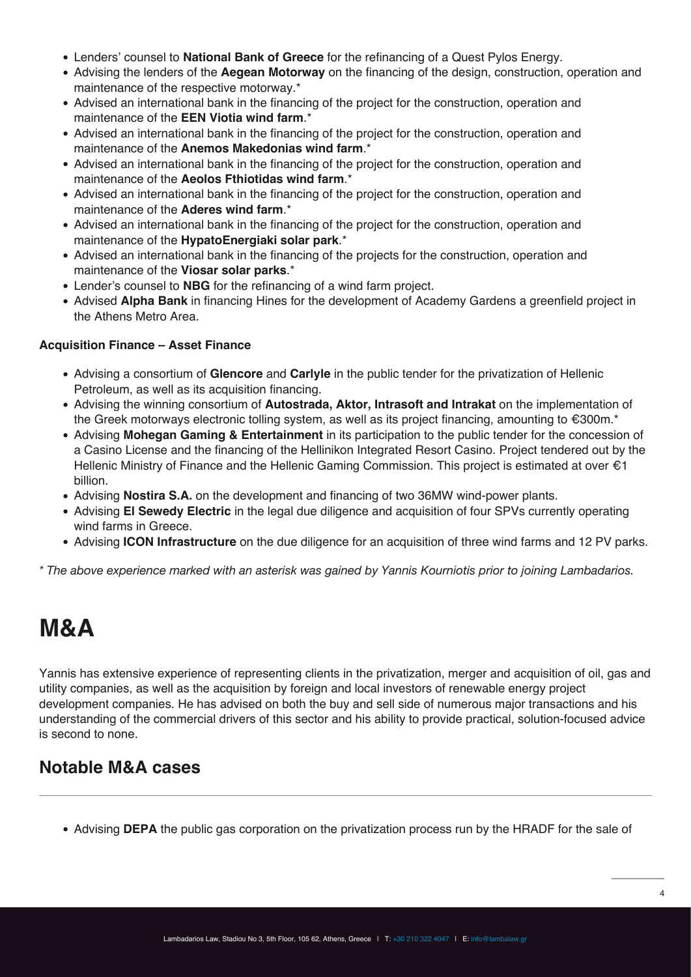- Lenders' counsel to **National Bank of Greece** for the refinancing of a Quest Pylos Energy.
- Advising the lenders of the **Aegean Motorway** on the financing of the design, construction, operation and maintenance of the respective motorway.\*
- Advised an international bank in the financing of the project for the construction, operation and maintenance of the **EEN Viotia wind farm**.\*
- Advised an international bank in the financing of the project for the construction, operation and maintenance of the **Anemos Makedonias wind farm**.\*
- Advised an international bank in the financing of the project for the construction, operation and maintenance of the **Aeolos Fthiotidas wind farm**.\*
- Advised an international bank in the financing of the project for the construction, operation and maintenance of the **Aderes wind farm**.\*
- Advised an international bank in the financing of the project for the construction, operation and maintenance of the **HypatoEnergiaki solar park**.\*
- Advised an international bank in the financing of the projects for the construction, operation and maintenance of the **Viosar solar parks**.\*
- Lender's counsel to **NBG** for the refinancing of a wind farm project.
- Advised **Alpha Bank** in financing Hines for the development of Academy Gardens a greenfield project in the Athens Metro Area.

### **Acquisition Finance – Asset Finance**

- Advising a consortium of **Glencore** and **Carlyle** in the public tender for the privatization of Hellenic Petroleum, as well as its acquisition financing.
- Advising the winning consortium of **Autostrada, Aktor, Intrasoft and Intrakat** on the implementation of the Greek motorways electronic tolling system, as well as its project financing, amounting to €300m.\*
- Advising **Mohegan Gaming & Entertainment** in its participation to the public tender for the concession of a Casino License and the financing of the Hellinikon Integrated Resort Casino. Project tendered out by the Hellenic Ministry of Finance and the Hellenic Gaming Commission. This project is estimated at over €1 billion.
- Advising **Nostira S.A.** on the development and financing of two 36MW wind-power plants.
- Advising **El Sewedy Electric** in the legal due diligence and acquisition of four SPVs currently operating wind farms in Greece.
- Advising **ICON Infrastructure** on the due diligence for an acquisition of three wind farms and 12 PV parks.

*\* The above experience marked with an asterisk was gained by Yannis Kourniotis prior to joining Lambadarios.*

## **M&A**

Yannis has extensive experience of representing clients in the privatization, merger and acquisition of oil, gas and utility companies, as well as the acquisition by foreign and local investors of renewable energy project development companies. He has advised on both the buy and sell side of numerous major transactions and his understanding of the commercial drivers of this sector and his ability to provide practical, solution-focused advice is second to none.

## **Notable M&A cases**

Advising **DEPA** the public gas corporation on the privatization process run by the HRADF for the sale of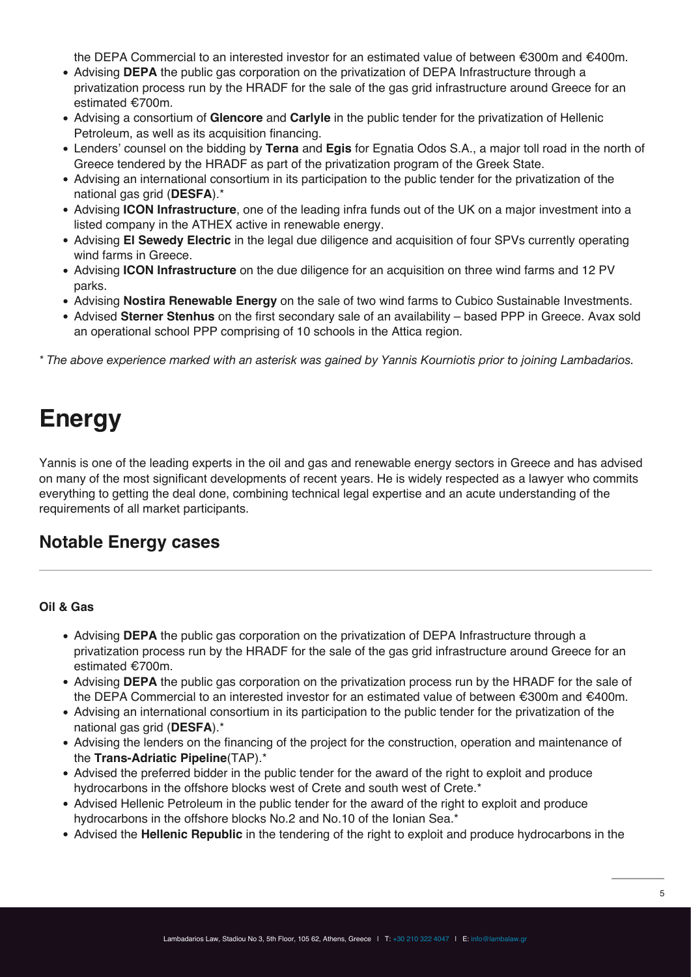the DEPA Commercial to an interested investor for an estimated value of between €300m and €400m.

- Advising **DEPA** the public gas corporation on the privatization of DEPA Infrastructure through a privatization process run by the HRADF for the sale of the gas grid infrastructure around Greece for an estimated €700m.
- Advising a consortium of **Glencore** and **Carlyle** in the public tender for the privatization of Hellenic Petroleum, as well as its acquisition financing.
- Lenders' counsel on the bidding by **Terna** and **Egis** for Egnatia Odos S.A., a major toll road in the north of Greece tendered by the HRADF as part of the privatization program of the Greek State.
- Advising an international consortium in its participation to the public tender for the privatization of the national gas grid (**DESFA**).\*
- Advising **ICON Infrastructure**, one of the leading infra funds out of the UK on a major investment into a listed company in the ATHEX active in renewable energy.
- Advising **El Sewedy Electric** in the legal due diligence and acquisition of four SPVs currently operating wind farms in Greece.
- Advising **ICON Infrastructure** on the due diligence for an acquisition on three wind farms and 12 PV parks.
- Advising **Nostira Renewable Energy** on the sale of two wind farms to Cubico Sustainable Investments.
- Advised **Sterner Stenhus** on the first secondary sale of an availability based PPP in Greece. Avax sold an operational school PPP comprising of 10 schools in the Attica region.

*\* The above experience marked with an asterisk was gained by Yannis Kourniotis prior to joining Lambadarios.*

## **Energy**

Yannis is one of the leading experts in the oil and gas and renewable energy sectors in Greece and has advised on many of the most significant developments of recent years. He is widely respected as a lawyer who commits everything to getting the deal done, combining technical legal expertise and an acute understanding of the requirements of all market participants.

### **Notable Energy cases**

#### **Oil & Gas**

- Advising **DEPA** the public gas corporation on the privatization of DEPA Infrastructure through a privatization process run by the HRADF for the sale of the gas grid infrastructure around Greece for an estimated €700m.
- Advising **DEPA** the public gas corporation on the privatization process run by the HRADF for the sale of the DEPA Commercial to an interested investor for an estimated value of between €300m and €400m.
- Advising an international consortium in its participation to the public tender for the privatization of the national gas grid (**DESFA**).\*
- Advising the lenders on the financing of the project for the construction, operation and maintenance of the **Trans-Adriatic Pipeline**(TAP).\*
- Advised the preferred bidder in the public tender for the award of the right to exploit and produce hydrocarbons in the offshore blocks west of Crete and south west of Crete.\*
- Advised Hellenic Petroleum in the public tender for the award of the right to exploit and produce hydrocarbons in the offshore blocks No.2 and No.10 of the Ionian Sea.\*
- Advised the **Hellenic Republic** in the tendering of the right to exploit and produce hydrocarbons in the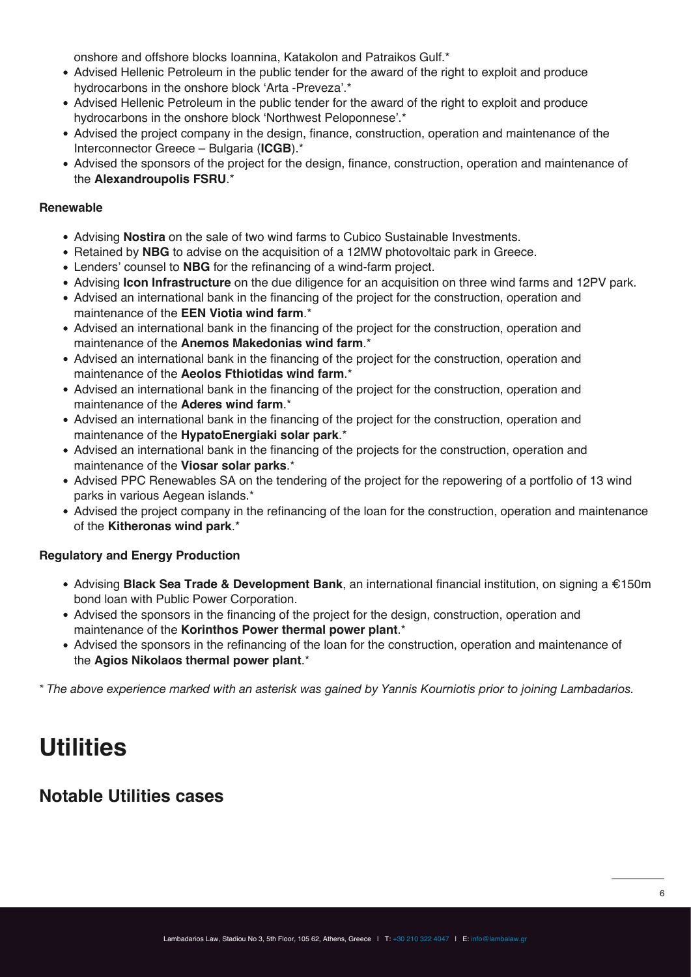onshore and offshore blocks Ioannina, Katakolon and Patraikos Gulf.\*

- Advised Hellenic Petroleum in the public tender for the award of the right to exploit and produce hydrocarbons in the onshore block 'Arta -Preveza'.\*
- Advised Hellenic Petroleum in the public tender for the award of the right to exploit and produce hydrocarbons in the onshore block 'Northwest Peloponnese'.\*
- Advised the project company in the design, finance, construction, operation and maintenance of the Interconnector Greece – Bulgaria (**ICGB**).\*
- Advised the sponsors of the project for the design, finance, construction, operation and maintenance of the **Alexandroupolis FSRU**.\*

#### **Renewable**

- Advising **Nostira** on the sale of two wind farms to Cubico Sustainable Investments.
- Retained by **NBG** to advise on the acquisition of a 12MW photovoltaic park in Greece.
- Lenders' counsel to **NBG** for the refinancing of a wind-farm project.
- Advising **Icon Infrastructure** on the due diligence for an acquisition on three wind farms and 12PV park.
- Advised an international bank in the financing of the project for the construction, operation and maintenance of the **EEN Viotia wind farm**.\*
- Advised an international bank in the financing of the project for the construction, operation and maintenance of the **Anemos Makedonias wind farm**.\*
- Advised an international bank in the financing of the project for the construction, operation and maintenance of the **Aeolos Fthiotidas wind farm**.\*
- Advised an international bank in the financing of the project for the construction, operation and maintenance of the **Aderes wind farm**.\*
- Advised an international bank in the financing of the project for the construction, operation and maintenance of the **HypatoEnergiaki solar park**.\*
- Advised an international bank in the financing of the projects for the construction, operation and maintenance of the **Viosar solar parks**.\*
- Advised PPC Renewables SA on the tendering of the project for the repowering of a portfolio of 13 wind parks in various Aegean islands.\*
- Advised the project company in the refinancing of the loan for the construction, operation and maintenance of the **Kitheronas wind park**.\*

### **Regulatory and Energy Production**

- Advising **Black Sea Trade & Development Bank**, an international financial institution, on signing a €150m bond loan with Public Power Corporation.
- Advised the sponsors in the financing of the project for the design, construction, operation and maintenance of the **Korinthos Power thermal power plant**.\*
- Advised the sponsors in the refinancing of the loan for the construction, operation and maintenance of the **Agios Nikolaos thermal power plant**.\*

*\* The above experience marked with an asterisk was gained by Yannis Kourniotis prior to joining Lambadarios.*

## **Utilities**

### **Notable Utilities cases**